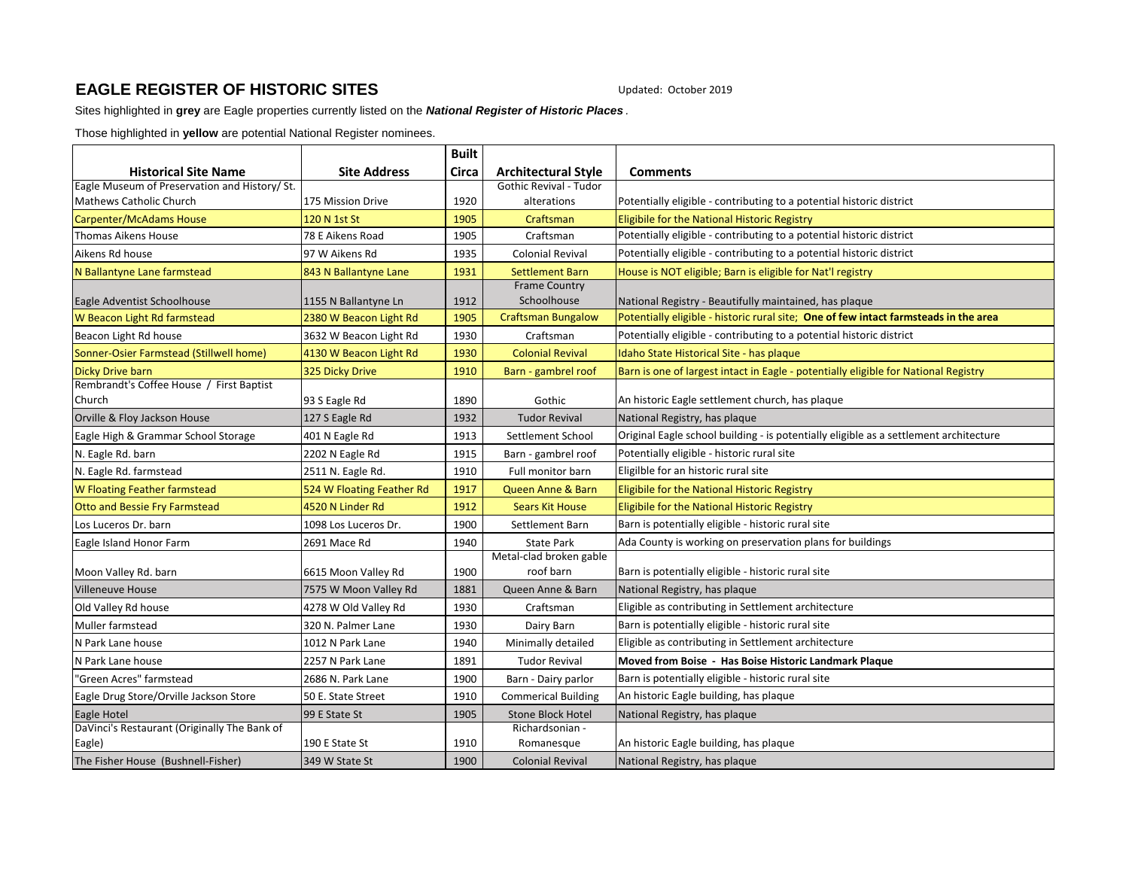## **EAGLE REGISTER OF HISTORIC SITES** Updated: October 2019

Sites highlighted in **grey** are Eagle properties currently listed on the *National Register of Historic Places .* 

Those highlighted in **yellow** are potential National Register nominees.

|                                                    |                           | <b>Built</b> |                               |                                                                                       |
|----------------------------------------------------|---------------------------|--------------|-------------------------------|---------------------------------------------------------------------------------------|
| <b>Historical Site Name</b>                        | <b>Site Address</b>       | Circa        | <b>Architectural Style</b>    | <b>Comments</b>                                                                       |
| Eagle Museum of Preservation and History/ St.      |                           |              | <b>Gothic Revival - Tudor</b> |                                                                                       |
| Mathews Catholic Church                            | 175 Mission Drive         | 1920         | alterations                   | Potentially eligible - contributing to a potential historic district                  |
| Carpenter/McAdams House                            | 120 N 1st St              | 1905         | Craftsman                     | Eligibile for the National Historic Registry                                          |
| Thomas Aikens House                                | 78 E Aikens Road          | 1905         | Craftsman                     | Potentially eligible - contributing to a potential historic district                  |
| Aikens Rd house                                    | 97 W Aikens Rd            | 1935         | <b>Colonial Revival</b>       | Potentially eligible - contributing to a potential historic district                  |
| N Ballantyne Lane farmstead                        | 843 N Ballantyne Lane     | 1931         | <b>Settlement Barn</b>        | House is NOT eligible; Barn is eligible for Nat'l registry                            |
|                                                    |                           |              | <b>Frame Country</b>          |                                                                                       |
| Eagle Adventist Schoolhouse                        | 1155 N Ballantyne Ln      | 1912         | Schoolhouse                   | National Registry - Beautifully maintained, has plaque                                |
| W Beacon Light Rd farmstead                        | 2380 W Beacon Light Rd    | 1905         | <b>Craftsman Bungalow</b>     | Potentially eligible - historic rural site; One of few intact farmsteads in the area  |
| Beacon Light Rd house                              | 3632 W Beacon Light Rd    | 1930         | Craftsman                     | Potentially eligible - contributing to a potential historic district                  |
| Sonner-Osier Farmstead (Stillwell home)            | 4130 W Beacon Light Rd    | 1930         | <b>Colonial Revival</b>       | Idaho State Historical Site - has plaque                                              |
| <b>Dicky Drive barn</b>                            | 325 Dicky Drive           | 1910         | Barn - gambrel roof           | Barn is one of largest intact in Eagle - potentially eligible for National Registry   |
| Rembrandt's Coffee House / First Baptist<br>Church |                           |              |                               |                                                                                       |
|                                                    | 93 S Eagle Rd             | 1890         | Gothic                        | An historic Eagle settlement church, has plaque                                       |
| Orville & Floy Jackson House                       | 127 S Eagle Rd            | 1932         | <b>Tudor Revival</b>          | National Registry, has plaque                                                         |
| Eagle High & Grammar School Storage                | 401 N Eagle Rd            | 1913         | Settlement School             | Original Eagle school building - is potentially eligible as a settlement architecture |
| N. Eagle Rd. barn                                  | 2202 N Eagle Rd           | 1915         | Barn - gambrel roof           | Potentially eligible - historic rural site                                            |
| N. Eagle Rd. farmstead                             | 2511 N. Eagle Rd.         | 1910         | Full monitor barn             | Eligilble for an historic rural site                                                  |
| W Floating Feather farmstead                       | 524 W Floating Feather Rd | 1917         | Queen Anne & Barn             | Eligibile for the National Historic Registry                                          |
| <b>Otto and Bessie Fry Farmstead</b>               | 4520 N Linder Rd          | 1912         | <b>Sears Kit House</b>        | Eligibile for the National Historic Registry                                          |
| Los Luceros Dr. barn                               | 1098 Los Luceros Dr.      | 1900         | Settlement Barn               | Barn is potentially eligible - historic rural site                                    |
| Eagle Island Honor Farm                            | 2691 Mace Rd              | 1940         | <b>State Park</b>             | Ada County is working on preservation plans for buildings                             |
|                                                    |                           |              | Metal-clad broken gable       |                                                                                       |
| Moon Valley Rd. barn                               | 6615 Moon Valley Rd       | 1900         | roof barn                     | Barn is potentially eligible - historic rural site                                    |
| <b>Villeneuve House</b>                            | 7575 W Moon Valley Rd     | 1881         | Queen Anne & Barn             | National Registry, has plaque                                                         |
| Old Valley Rd house                                | 4278 W Old Valley Rd      | 1930         | Craftsman                     | Eligible as contributing in Settlement architecture                                   |
| Muller farmstead                                   | 320 N. Palmer Lane        | 1930         | Dairy Barn                    | Barn is potentially eligible - historic rural site                                    |
| N Park Lane house                                  | 1012 N Park Lane          | 1940         | Minimally detailed            | Eligible as contributing in Settlement architecture                                   |
| N Park Lane house                                  | 2257 N Park Lane          | 1891         | <b>Tudor Revival</b>          | Moved from Boise - Has Boise Historic Landmark Plaque                                 |
| 'Green Acres" farmstead                            | 2686 N. Park Lane         | 1900         | Barn - Dairy parlor           | Barn is potentially eligible - historic rural site                                    |
| Eagle Drug Store/Orville Jackson Store             | 50 E. State Street        | 1910         | <b>Commerical Building</b>    | An historic Eagle building, has plaque                                                |
| Eagle Hotel                                        | 99 E State St             | 1905         | <b>Stone Block Hotel</b>      | National Registry, has plaque                                                         |
| DaVinci's Restaurant (Originally The Bank of       |                           |              | Richardsonian -               |                                                                                       |
| Eagle)                                             | 190 E State St            | 1910         | Romanesque                    | An historic Eagle building, has plaque                                                |
| The Fisher House (Bushnell-Fisher)                 | 349 W State St            | 1900         | <b>Colonial Revival</b>       | National Registry, has plaque                                                         |